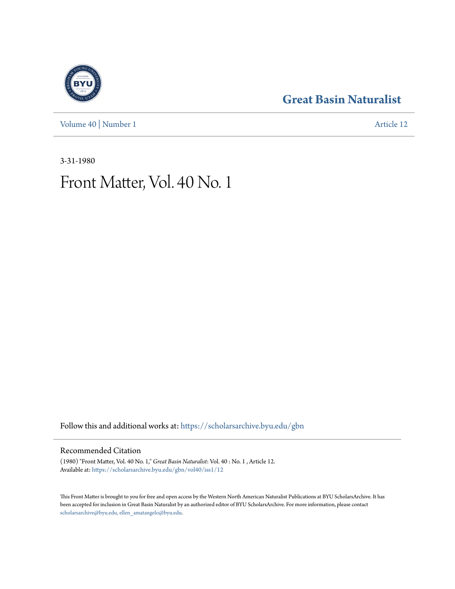[Volume 40](https://scholarsarchive.byu.edu/gbn/vol40?utm_source=scholarsarchive.byu.edu%2Fgbn%2Fvol40%2Fiss1%2F12&utm_medium=PDF&utm_campaign=PDFCoverPages) | [Number 1](https://scholarsarchive.byu.edu/gbn/vol40/iss1?utm_source=scholarsarchive.byu.edu%2Fgbn%2Fvol40%2Fiss1%2F12&utm_medium=PDF&utm_campaign=PDFCoverPages) [Article 12](https://scholarsarchive.byu.edu/gbn/vol40/iss1/12?utm_source=scholarsarchive.byu.edu%2Fgbn%2Fvol40%2Fiss1%2F12&utm_medium=PDF&utm_campaign=PDFCoverPages)

## **[Great Basin Naturalist](https://scholarsarchive.byu.edu/gbn?utm_source=scholarsarchive.byu.edu%2Fgbn%2Fvol40%2Fiss1%2F12&utm_medium=PDF&utm_campaign=PDFCoverPages)**

3-31-1980

# Front Matter, Vol. 40 No. 1

Follow this and additional works at: [https://scholarsarchive.byu.edu/gbn](https://scholarsarchive.byu.edu/gbn?utm_source=scholarsarchive.byu.edu%2Fgbn%2Fvol40%2Fiss1%2F12&utm_medium=PDF&utm_campaign=PDFCoverPages)

### Recommended Citation

(1980) "Front Matter, Vol. 40 No. 1," *Great Basin Naturalist*: Vol. 40 : No. 1 , Article 12. Available at: [https://scholarsarchive.byu.edu/gbn/vol40/iss1/12](https://scholarsarchive.byu.edu/gbn/vol40/iss1/12?utm_source=scholarsarchive.byu.edu%2Fgbn%2Fvol40%2Fiss1%2F12&utm_medium=PDF&utm_campaign=PDFCoverPages)

This Front Matter is brought to you for free and open access by the Western North American Naturalist Publications at BYU ScholarsArchive. It has been accepted for inclusion in Great Basin Naturalist by an authorized editor of BYU ScholarsArchive. For more information, please contact [scholarsarchive@byu.edu, ellen\\_amatangelo@byu.edu.](mailto:scholarsarchive@byu.edu,%20ellen_amatangelo@byu.edu)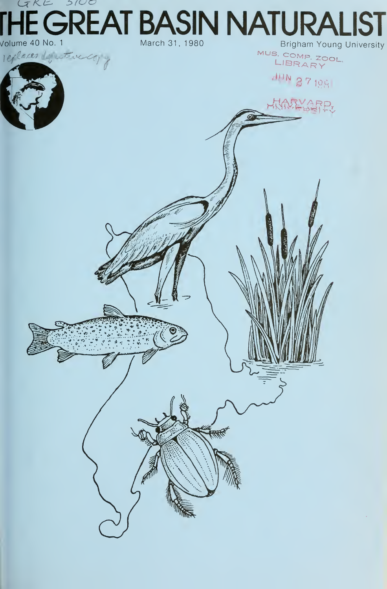